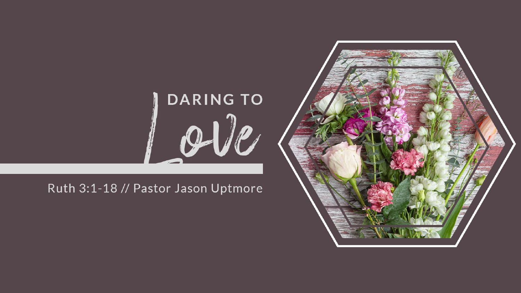## DARING TO

Ruth 3:1-18 // Pastor Jason Uptmore

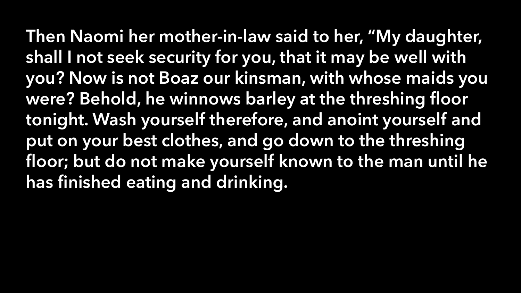Then Naomi her mother-in-law said to her, "My daughter, shall I not seek security for you, that it may be well with you? Now is not Boaz our kinsman, with whose maids you were? Behold, he winnows barley at the threshing floor tonight. Wash yourself therefore, and anoint yourself and put on your best clothes, and go down to the threshing floor; but do not make yourself known to the man until he has finished eating and drinking.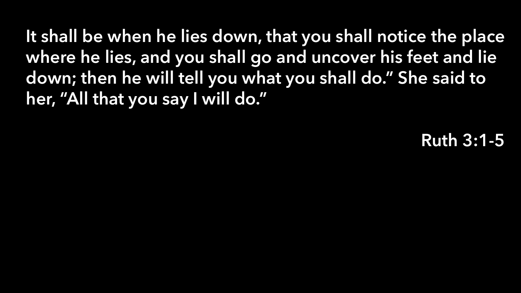It shall be when he lies down, that you shall notice the place where he lies, and you shall go and uncover his feet and lie down; then he will tell you what you shall do." She said to her, "All that you say I will do."

Ruth 3:1-5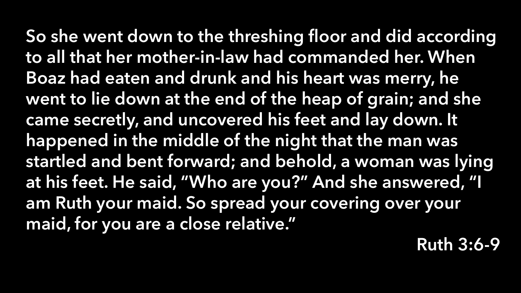So she went down to the threshing floor and did according to all that her mother-in-law had commanded her. When Boaz had eaten and drunk and his heart was merry, he went to lie down at the end of the heap of grain; and she came secretly, and uncovered his feet and lay down. It happened in the middle of the night that the man was startled and bent forward; and behold, a woman was lying at his feet. He said, "Who are you?" And she answered, "I am Ruth your maid. So spread your covering over your maid, for you are a close relative."

Ruth 3:6-9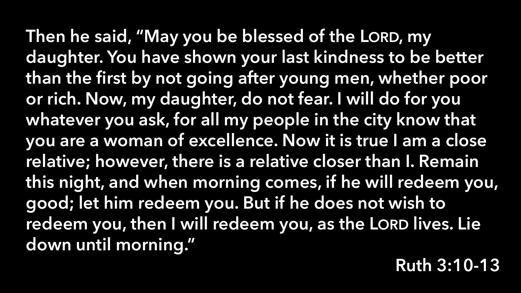Then he said, "May you be blessed of the LORD, my daughter. You have shown your last kindness to be better than the first by not going after young men, whether poor or rich. Now, my daughter, do not fear. I will do for you whatever you ask, for all my people in the city know that you are a woman of excellence. Now it is true I am a close relative; however, there is a relative closer than I. Remain this night, and when morning comes, if he will redeem you, good; let him redeem you. But if he does not wish to redeem you, then I will redeem you, as the LORD lives. Lie down until morning."

Ruth 3:10-13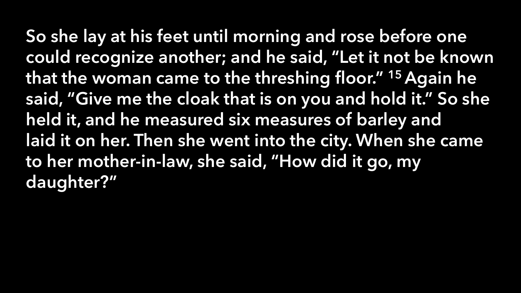So she lay at his feet until morning and rose before one could recognize another; and he said, "Let it not be known that the woman came to the threshing floor." <sup>15</sup> Again he said, "Give me the cloak that is on you and hold it." So she held it, and he measured six measures of barley and laid it on her. Then she went into the city. When she came to her mother-in-law, she said, "How did it go, my daughter?"